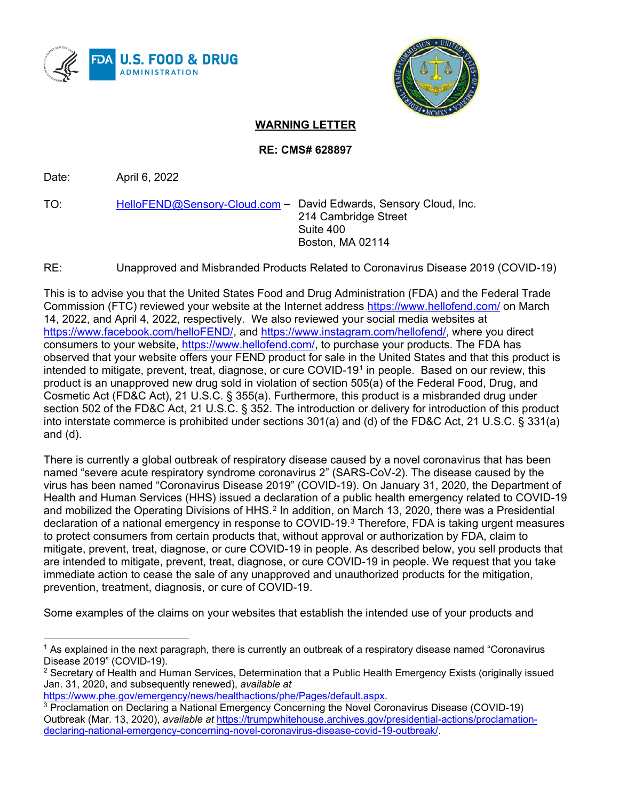



## **WARNING LETTER**

**RE: CMS# 628897**

Date: April 6, 2022

TO: [HelloFEND@Sensory-Cloud.com](mailto:HelloFEND@Sensory-Cloud.com) – David Edwards, Sensory Cloud, Inc. 214 Cambridge Street Suite 400 Boston, MA 02114

RE: Unapproved and Misbranded Products Related to Coronavirus Disease 2019 (COVID-19)

This is to advise you that the United States Food and Drug Administration (FDA) and the Federal Trade Commission (FTC) reviewed your website at the Internet address<https://www.hellofend.com/> on March 14, 2022, and April 4, 2022, respectively. We also reviewed your social media websites at [https://www.facebook.com/helloFEND/,](https://www.facebook.com/helloFEND/) and [https://www.instagram.com/hellofend/,](https://www.instagram.com/hellofend/) where you direct consumers to your website, [https://www.hellofend.com/,](https://www.hellofend.com/) to purchase your products. The FDA has observed that your website offers your FEND product for sale in the United States and that this product is intended to mitigate, prevent, treat, diagnose, or cure COVID-[1](#page-0-0)9<sup>1</sup> in people. Based on our review, this product is an unapproved new drug sold in violation of section 505(a) of the Federal Food, Drug, and Cosmetic Act (FD&C Act), 21 U.S.C. § 355(a). Furthermore, this product is a misbranded drug under section 502 of the FD&C Act, 21 U.S.C. § 352. The introduction or delivery for introduction of this product into interstate commerce is prohibited under sections 301(a) and (d) of the FD&C Act, 21 U.S.C. § 331(a) and (d).

There is currently a global outbreak of respiratory disease caused by a novel coronavirus that has been named "severe acute respiratory syndrome coronavirus 2" (SARS-CoV-2). The disease caused by the virus has been named "Coronavirus Disease 2019" (COVID-19). On January 31, 2020, the Department of Health and Human Services (HHS) issued a declaration of a public health emergency related to COVID-19 and mobilized the Operating Divisions of HHS.<sup>[2](#page-0-1)</sup> In addition, on March 13, 2020, there was a Presidential declaration of a national emergency in response to COVID-19.[3](#page-0-2) Therefore, FDA is taking urgent measures to protect consumers from certain products that, without approval or authorization by FDA, claim to mitigate, prevent, treat, diagnose, or cure COVID-19 in people. As described below, you sell products that are intended to mitigate, prevent, treat, diagnose, or cure COVID-19 in people. We request that you take immediate action to cease the sale of any unapproved and unauthorized products for the mitigation, prevention, treatment, diagnosis, or cure of COVID-19.

Some examples of the claims on your websites that establish the intended use of your products and

```
https://www.phe.gov/emergency/news/healthactions/phe/Pages/default.aspx.
```
<span id="page-0-0"></span><sup>&</sup>lt;sup>1</sup> As explained in the next paragraph, there is currently an outbreak of a respiratory disease named "Coronavirus Disease 2019" (COVID-19).

<span id="page-0-1"></span> $2$  Secretary of Health and Human Services, Determination that a Public Health Emergency Exists (originally issued Jan. 31, 2020, and subsequently renewed), *available at*

<span id="page-0-2"></span><sup>3</sup> Proclamation on Declaring a National Emergency Concerning the Novel Coronavirus Disease (COVID-19) Outbreak (Mar. 13, 2020), *available at* [https://trumpwhitehouse.archives.gov/presidential-actions/proclamation](https://trumpwhitehouse.archives.gov/presidential-actions/proclamation-declaring-national-emergency-concerning-novel-coronavirus-disease-covid-19-outbreak/)[declaring-national-emergency-concerning-novel-coronavirus-disease-covid-19-outbreak/.](https://trumpwhitehouse.archives.gov/presidential-actions/proclamation-declaring-national-emergency-concerning-novel-coronavirus-disease-covid-19-outbreak/)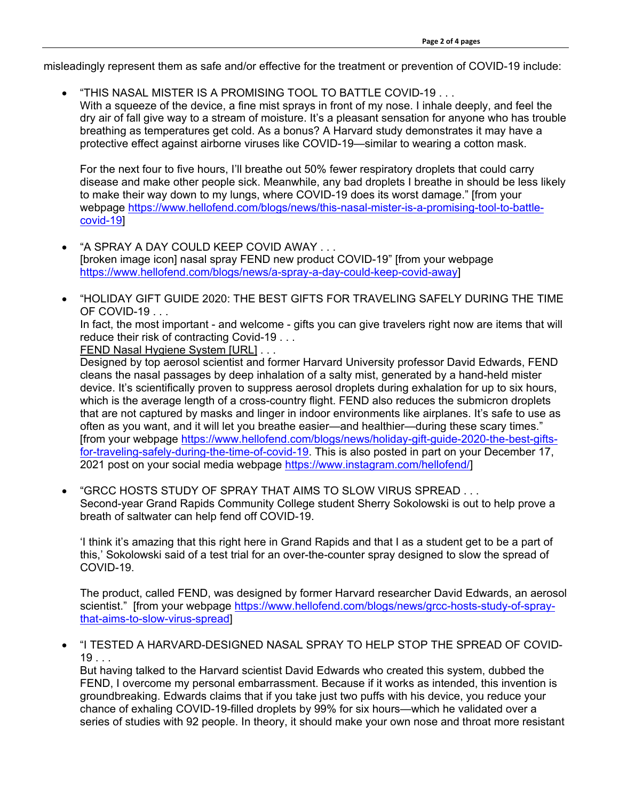misleadingly represent them as safe and/or effective for the treatment or prevention of COVID-19 include:

- "THIS NASAL MISTER IS A PROMISING TOOL TO BATTLE COVID-19 . . .
	- With a squeeze of the device, a fine mist sprays in front of my nose. I inhale deeply, and feel the dry air of fall give way to a stream of moisture. It's a pleasant sensation for anyone who has trouble breathing as temperatures get cold. As a bonus? A Harvard study demonstrates it may have a protective effect against airborne viruses like COVID-19—similar to wearing a cotton mask.

For the next four to five hours, I'll breathe out 50% fewer respiratory droplets that could carry disease and make other people sick. Meanwhile, any bad droplets I breathe in should be less likely to make their way down to my lungs, where COVID-19 does its worst damage." [from your webpage [https://www.hellofend.com/blogs/news/this-nasal-mister-is-a-promising-tool-to-battle](https://www.hellofend.com/blogs/news/this-nasal-mister-is-a-promising-tool-to-battle-covid-19)[covid-19\]](https://www.hellofend.com/blogs/news/this-nasal-mister-is-a-promising-tool-to-battle-covid-19)

- "A SPRAY A DAY COULD KEEP COVID AWAY . . . [broken image icon] nasal spray FEND new product COVID-19" [from your webpage [https://www.hellofend.com/blogs/news/a-spray-a-day-could-keep-covid-away\]](https://www.hellofend.com/blogs/news/a-spray-a-day-could-keep-covid-away)
- "HOLIDAY GIFT GUIDE 2020: THE BEST GIFTS FOR TRAVELING SAFELY DURING THE TIME OF COVID-19...

In fact, the most important - and welcome - gifts you can give travelers right now are items that will reduce their risk of contracting Covid-19 . . .

FEND Nasal Hygiene System [URL] . . .

Designed by top aerosol scientist and former Harvard University professor David Edwards, FEND cleans the nasal passages by deep inhalation of a salty mist, generated by a hand-held mister device. It's scientifically proven to suppress aerosol droplets during exhalation for up to six hours, which is the average length of a cross-country flight. FEND also reduces the submicron droplets that are not captured by masks and linger in indoor environments like airplanes. It's safe to use as often as you want, and it will let you breathe easier—and healthier—during these scary times." [from your webpage [https://www.hellofend.com/blogs/news/holiday-gift-guide-2020-the-best-gifts](https://www.hellofend.com/blogs/news/holiday-gift-guide-2020-the-best-gifts-for-traveling-safely-during-the-time-of-covid-19)[for-traveling-safely-during-the-time-of-covid-19.](https://www.hellofend.com/blogs/news/holiday-gift-guide-2020-the-best-gifts-for-traveling-safely-during-the-time-of-covid-19) This is also posted in part on your December 17, 2021 post on your social media webpage [https://www.instagram.com/hellofend/\]](https://www.instagram.com/hellofend/)

• "GRCC HOSTS STUDY OF SPRAY THAT AIMS TO SLOW VIRUS SPREAD . . . Second-year Grand Rapids Community College student Sherry Sokolowski is out to help prove a breath of saltwater can help fend off COVID-19.

'I think it's amazing that this right here in Grand Rapids and that I as a student get to be a part of this,' Sokolowski said of a test trial for an over-the-counter spray designed to slow the spread of COVID-19.

The product, called FEND, was designed by former Harvard researcher David Edwards, an aerosol scientist." [from your webpage [https://www.hellofend.com/blogs/news/grcc-hosts-study-of-spray](https://www.hellofend.com/blogs/news/grcc-hosts-study-of-spray-that-aims-to-slow-virus-spread)[that-aims-to-slow-virus-spread\]](https://www.hellofend.com/blogs/news/grcc-hosts-study-of-spray-that-aims-to-slow-virus-spread)

• "I TESTED A HARVARD-DESIGNED NASAL SPRAY TO HELP STOP THE SPREAD OF COVID- $19...$ 

But having talked to the Harvard scientist David Edwards who created this system, dubbed the FEND, I overcome my personal embarrassment. Because if it works as intended, this invention is groundbreaking. Edwards claims that if you take just two puffs with his device, you reduce your chance of exhaling COVID-19-filled droplets by 99% for six hours—which he validated over a series of studies with 92 people. In theory, it should make your own nose and throat more resistant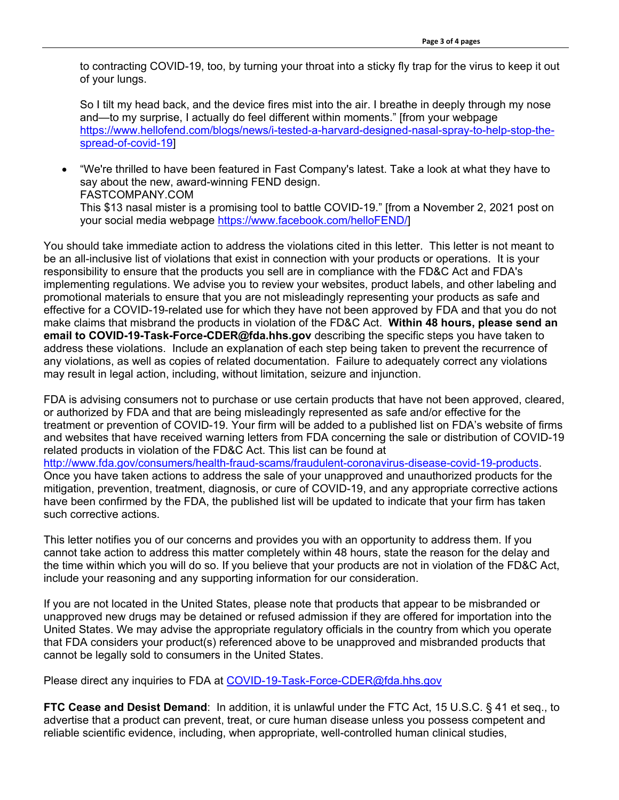to contracting COVID-19, too, by turning your throat into a sticky fly trap for the virus to keep it out of your lungs.

So I tilt my head back, and the device fires mist into the air. I breathe in deeply through my nose and—to my surprise, I actually do feel different within moments." [from your webpage [https://www.hellofend.com/blogs/news/i-tested-a-harvard-designed-nasal-spray-to-help-stop-the](https://www.hellofend.com/blogs/news/i-tested-a-harvard-designed-nasal-spray-to-help-stop-the-spread-of-covid-19)[spread-of-covid-19\]](https://www.hellofend.com/blogs/news/i-tested-a-harvard-designed-nasal-spray-to-help-stop-the-spread-of-covid-19)

• "We're thrilled to have been featured in Fast Company's latest. Take a look at what they have to say about the new, award-winning FEND design. FASTCOMPANY.COM This \$13 nasal mister is a promising tool to battle COVID-19." [from a November 2, 2021 post on your social media webpage [https://www.facebook.com/helloFEND/\]](https://www.facebook.com/helloFEND/)

You should take immediate action to address the violations cited in this letter. This letter is not meant to be an all-inclusive list of violations that exist in connection with your products or operations. It is your responsibility to ensure that the products you sell are in compliance with the FD&C Act and FDA's implementing regulations. We advise you to review your websites, product labels, and other labeling and promotional materials to ensure that you are not misleadingly representing your products as safe and effective for a COVID-19-related use for which they have not been approved by FDA and that you do not make claims that misbrand the products in violation of the FD&C Act. **Within 48 hours, please send an email to COVID-19-Task-Force-CDER@fda.hhs.gov** describing the specific steps you have taken to address these violations. Include an explanation of each step being taken to prevent the recurrence of any violations, as well as copies of related documentation. Failure to adequately correct any violations may result in legal action, including, without limitation, seizure and injunction.

FDA is advising consumers not to purchase or use certain products that have not been approved, cleared, or authorized by FDA and that are being misleadingly represented as safe and/or effective for the treatment or prevention of COVID-19. Your firm will be added to a published list on FDA's website of firms and websites that have received warning letters from FDA concerning the sale or distribution of COVID-19 related products in violation of the FD&C Act. This list can be found at [http://www.fda.gov/consumers/health-fraud-scams/fraudulent-coronavirus-disease-covid-19-products.](http://www.fda.gov/consumers/health-fraud-scams/fraudulent-coronavirus-disease-covid-19-products) Once you have taken actions to address the sale of your unapproved and unauthorized products for the mitigation, prevention, treatment, diagnosis, or cure of COVID-19, and any appropriate corrective actions have been confirmed by the FDA, the published list will be updated to indicate that your firm has taken such corrective actions.

This letter notifies you of our concerns and provides you with an opportunity to address them. If you cannot take action to address this matter completely within 48 hours, state the reason for the delay and the time within which you will do so. If you believe that your products are not in violation of the FD&C Act, include your reasoning and any supporting information for our consideration.

If you are not located in the United States, please note that products that appear to be misbranded or unapproved new drugs may be detained or refused admission if they are offered for importation into the United States. We may advise the appropriate regulatory officials in the country from which you operate that FDA considers your product(s) referenced above to be unapproved and misbranded products that cannot be legally sold to consumers in the United States.

Please direct any inquiries to FDA at [COVID-19-Task-Force-CDER@fda.hhs.gov](mailto:COVID-19-Task-Force-CDER@fda.hhs.gov)

**FTC Cease and Desist Demand**: In addition, it is unlawful under the FTC Act, 15 U.S.C. § 41 et seq., to advertise that a product can prevent, treat, or cure human disease unless you possess competent and reliable scientific evidence, including, when appropriate, well-controlled human clinical studies,